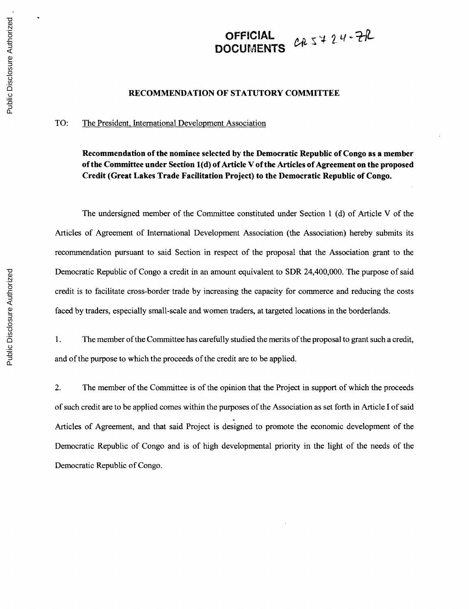## **OFFICIAL**  $\begin{array}{cc} 2 & 2 \end{array}$ DOCUMENT

## **RECOMMENDATION OF STATUTORY COMMITTEE**

## TO: The President, International Development Association

**Recommendation of the nominee selected by the Democratic Republic of Congo as a member of the Committee under Section 1(d) of Article V of the Articles of Agreement on the proposed Credit (Great Lakes Trade Facilitation Project) to the Democratic Republic of Congo.**

The undersigned member of the Committee constituted under Section **1 (d)** of Article V of the Articles of Agreement of International Development Association (the Association) hereby submits its recommendation pursuant to said Section in respect of the proposal that the Association grant to the Democratic Republic of Congo a credit in an amount equivalent to SDR 24,400,000. The purpose of said credit is to facilitate cross-border trade **by** increasing the capacity for commerce and reducing the costs faced **by** traders, especially small-scale and women traders, at targeted locations in the borderlands.

**1.** The member of the Committee has carefully studied the merits of the proposal to grant such a credit, and of the purpose to which the proceeds of the credit are to be applied.

2. The member of the Committee is of the opinion that the Project in support of which the proceeds of such credit are to be applied comes within the purposes of the Association as set forth in Article **I** of said Articles of Agreement, and that said Project is designed to promote the economic development of the Democratic Republic of Congo and is of high developmental priority in the light of the needs of the Democratic Republic of Congo.